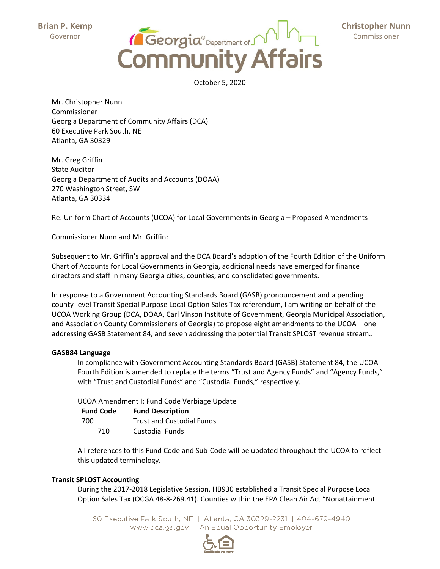**Brian P. Kemp** Governor



 **Christopher Nunn** Commissioner

October 5, 2020

Mr. Christopher Nunn Commissioner Georgia Department of Community Affairs (DCA) 60 Executive Park South, NE Atlanta, GA 30329

Mr. Greg Griffin State Auditor Georgia Department of Audits and Accounts (DOAA) 270 Washington Street, SW Atlanta, GA 30334

Re: Uniform Chart of Accounts (UCOA) for Local Governments in Georgia – Proposed Amendments

Commissioner Nunn and Mr. Griffin:

Subsequent to Mr. Griffin's approval and the DCA Board's adoption of the Fourth Edition of the Uniform Chart of Accounts for Local Governments in Georgia, additional needs have emerged for finance directors and staff in many Georgia cities, counties, and consolidated governments.

In response to a Government Accounting Standards Board (GASB) pronouncement and a pending county‐level Transit Special Purpose Local Option Sales Tax referendum, I am writing on behalf of the UCOA Working Group (DCA, DOAA, Carl Vinson Institute of Government, Georgia Municipal Association, and Association County Commissioners of Georgia) to propose eight amendments to the UCOA – one addressing GASB Statement 84, and seven addressing the potential Transit SPLOST revenue stream..

## **GASB84 Language**

In compliance with Government Accounting Standards Board (GASB) Statement 84, the UCOA Fourth Edition is amended to replace the terms "Trust and Agency Funds" and "Agency Funds," with "Trust and Custodial Funds" and "Custodial Funds," respectively.

| <b>OCON AMCHAMENT I. I GIN COUL VEIDINGLY OPPOIL</b> |     |                                  |
|------------------------------------------------------|-----|----------------------------------|
| l Fund Code                                          |     | <b>Fund Description</b>          |
| 700                                                  |     | <b>Trust and Custodial Funds</b> |
|                                                      | 710 | <b>Custodial Funds</b>           |

UCOA Amendment I: Fund Code Verbiage Update

All references to this Fund Code and Sub‐Code will be updated throughout the UCOA to reflect this updated terminology.

## **Transit SPLOST Accounting**

During the 2017‐2018 Legislative Session, HB930 established a Transit Special Purpose Local Option Sales Tax (OCGA 48‐8‐269.41). Counties within the EPA Clean Air Act "Nonattainment

60 Executive Park South, NE | Atlanta, GA 30329-2231 | 404-679-4940 www.dca.ga.gov | An Equal Opportunity Employer

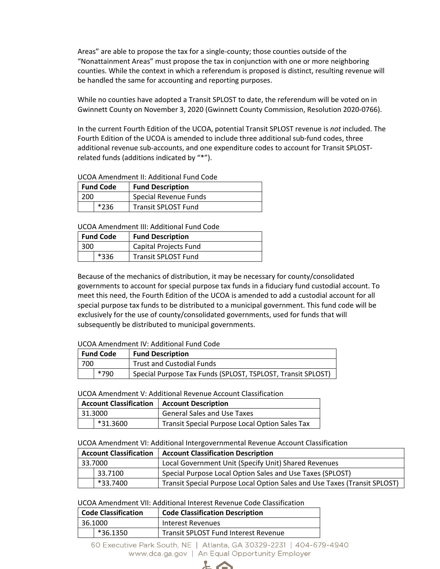Areas" are able to propose the tax for a single‐county; those counties outside of the "Nonattainment Areas" must propose the tax in conjunction with one or more neighboring counties. While the context in which a referendum is proposed is distinct, resulting revenue will be handled the same for accounting and reporting purposes.

While no counties have adopted a Transit SPLOST to date, the referendum will be voted on in Gwinnett County on November 3, 2020 (Gwinnett County Commission, Resolution 2020‐0766).

In the current Fourth Edition of the UCOA, potential Transit SPLOST revenue is *not* included. The Fourth Edition of the UCOA is amended to include three additional sub‐fund codes, three additional revenue sub‐accounts, and one expenditure codes to account for Transit SPLOST‐ related funds (additions indicated by "\*").

UCOA Amendment II: Additional Fund Code

| <b>Fund Code</b> |        | <b>Fund Description</b>    |
|------------------|--------|----------------------------|
| 200              |        | Special Revenue Funds      |
|                  | $*236$ | <b>Transit SPLOST Fund</b> |

UCOA Amendment III: Additional Fund Code

| <b>Fund Code</b> |  | <b>Fund Description</b>    |
|------------------|--|----------------------------|
| 300              |  | Capital Projects Fund      |
|                  |  | <b>Transit SPLOST Fund</b> |

Because of the mechanics of distribution, it may be necessary for county/consolidated governments to account for special purpose tax funds in a fiduciary fund custodial account. To meet this need, the Fourth Edition of the UCOA is amended to add a custodial account for all special purpose tax funds to be distributed to a municipal government. This fund code will be exclusively for the use of county/consolidated governments, used for funds that will subsequently be distributed to municipal governments.

## UCOA Amendment IV: Additional Fund Code

| <b>Fund Code</b> |      | <b>Fund Description</b>                                     |  |
|------------------|------|-------------------------------------------------------------|--|
| 700              |      | <b>Trust and Custodial Funds</b>                            |  |
|                  | *790 | Special Purpose Tax Funds (SPLOST, TSPLOST, Transit SPLOST) |  |

UCOA Amendment V: Additional Revenue Account Classification

| <b>Account Classification   Account Description</b> |          |                                                |
|-----------------------------------------------------|----------|------------------------------------------------|
|                                                     | 31.3000  | <b>General Sales and Use Taxes</b>             |
|                                                     | *31.3600 | Transit Special Purpose Local Option Sales Tax |

UCOA Amendment VI: Additional Intergovernmental Revenue Account Classification

|         |          | Account Classification   Account Classification Description               |
|---------|----------|---------------------------------------------------------------------------|
| 33.7000 |          | Local Government Unit (Specify Unit) Shared Revenues                      |
|         | 33.7100  | Special Purpose Local Option Sales and Use Taxes (SPLOST)                 |
|         | *33.7400 | Transit Special Purpose Local Option Sales and Use Taxes (Transit SPLOST) |

## UCOA Amendment VII: Additional Interest Revenue Code Classification

| <b>Code Classification</b> | <b>Code Classification Description</b> |
|----------------------------|----------------------------------------|
| 36.1000                    | Interest Revenues                      |
| *36.1350                   | Transit SPLOST Fund Interest Revenue   |

60 Executive Park South, NE | Atlanta, GA 30329-2231 | 404-679-4940 www.dca.ga.gov | An Equal Opportunity Employer